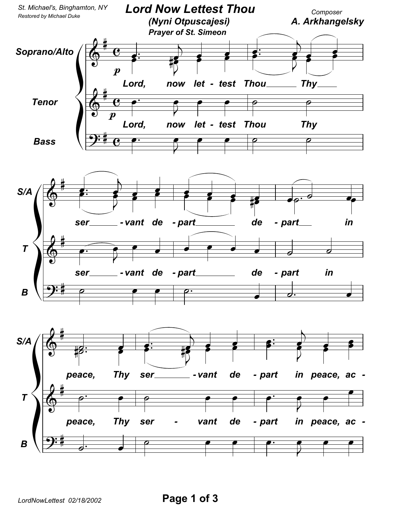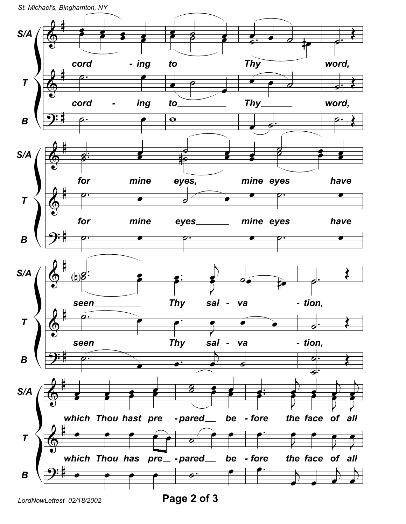